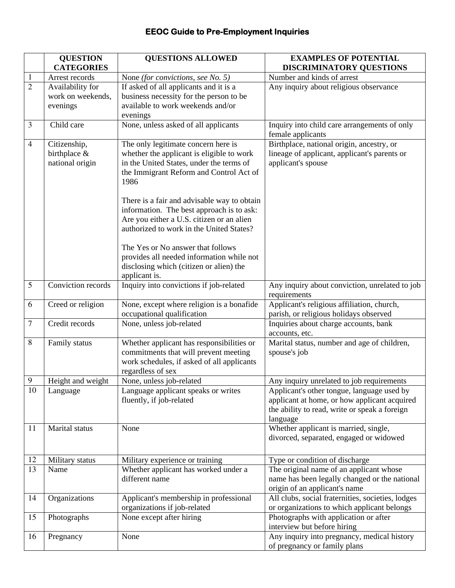## **EEOC Guide to Pre-Employment Inquiries**

|                  | <b>QUESTION</b>                       | <b>QUESTIONS ALLOWED</b>                                                           | <b>EXAMPLES OF POTENTIAL</b>                                      |
|------------------|---------------------------------------|------------------------------------------------------------------------------------|-------------------------------------------------------------------|
|                  | <b>CATEGORIES</b>                     |                                                                                    | <b>DISCRIMINATORY QUESTIONS</b>                                   |
| 1                | Arrest records                        | None (for convictions, see No. 5)                                                  | Number and kinds of arrest                                        |
| $\overline{2}$   | Availability for<br>work on weekends, | If asked of all applicants and it is a<br>business necessity for the person to be  | Any inquiry about religious observance                            |
|                  | evenings                              | available to work weekends and/or                                                  |                                                                   |
|                  |                                       | evenings                                                                           |                                                                   |
| $\mathfrak{Z}$   | Child care                            | None, unless asked of all applicants                                               | Inquiry into child care arrangements of only<br>female applicants |
| $\overline{4}$   | Citizenship,                          | The only legitimate concern here is                                                | Birthplace, national origin, ancestry, or                         |
|                  | birthplace &                          | whether the applicant is eligible to work                                          | lineage of applicant, applicant's parents or                      |
|                  | national origin                       | in the United States, under the terms of                                           | applicant's spouse                                                |
|                  |                                       | the Immigrant Reform and Control Act of<br>1986                                    |                                                                   |
|                  |                                       | There is a fair and advisable way to obtain                                        |                                                                   |
|                  |                                       | information. The best approach is to ask:                                          |                                                                   |
|                  |                                       | Are you either a U.S. citizen or an alien                                          |                                                                   |
|                  |                                       | authorized to work in the United States?                                           |                                                                   |
|                  |                                       | The Yes or No answer that follows                                                  |                                                                   |
|                  |                                       | provides all needed information while not                                          |                                                                   |
|                  |                                       | disclosing which (citizen or alien) the<br>applicant is.                           |                                                                   |
| 5                | Conviction records                    | Inquiry into convictions if job-related                                            | Any inquiry about conviction, unrelated to job<br>requirements    |
| 6                | Creed or religion                     | None, except where religion is a bonafide                                          | Applicant's religious affiliation, church,                        |
|                  |                                       | occupational qualification                                                         | parish, or religious holidays observed                            |
| $\boldsymbol{7}$ | Credit records                        | None, unless job-related                                                           | Inquiries about charge accounts, bank                             |
| 8                |                                       |                                                                                    | accounts, etc.                                                    |
|                  | Family status                         | Whether applicant has responsibilities or<br>commitments that will prevent meeting | Marital status, number and age of children,<br>spouse's job       |
|                  |                                       | work schedules, if asked of all applicants                                         |                                                                   |
|                  |                                       | regardless of sex                                                                  |                                                                   |
| 9                | Height and weight                     | None, unless job-related                                                           | Any inquiry unrelated to job requirements                         |
| 10               | Language                              | Language applicant speaks or writes                                                | Applicant's other tongue, language used by                        |
|                  |                                       | fluently, if job-related                                                           | applicant at home, or how applicant acquired                      |
|                  |                                       |                                                                                    | the ability to read, write or speak a foreign                     |
|                  |                                       |                                                                                    | language                                                          |
| 11               | Marital status                        | None                                                                               | Whether applicant is married, single,                             |
|                  |                                       |                                                                                    | divorced, separated, engaged or widowed                           |
| 12               | Military status                       | Military experience or training                                                    | Type or condition of discharge                                    |
| 13               | Name                                  | Whether applicant has worked under a                                               | The original name of an applicant whose                           |
|                  |                                       | different name                                                                     | name has been legally changed or the national                     |
|                  |                                       |                                                                                    | origin of an applicant's name                                     |
| 14               | Organizations                         | Applicant's membership in professional                                             | All clubs, social fraternities, societies, lodges                 |
|                  |                                       | organizations if job-related                                                       | or organizations to which applicant belongs                       |
| 15               | Photographs                           | None except after hiring                                                           | Photographs with application or after                             |
|                  |                                       |                                                                                    | interview but before hiring                                       |
| 16               | Pregnancy                             | None                                                                               | Any inquiry into pregnancy, medical history                       |
|                  |                                       |                                                                                    | of pregnancy or family plans                                      |